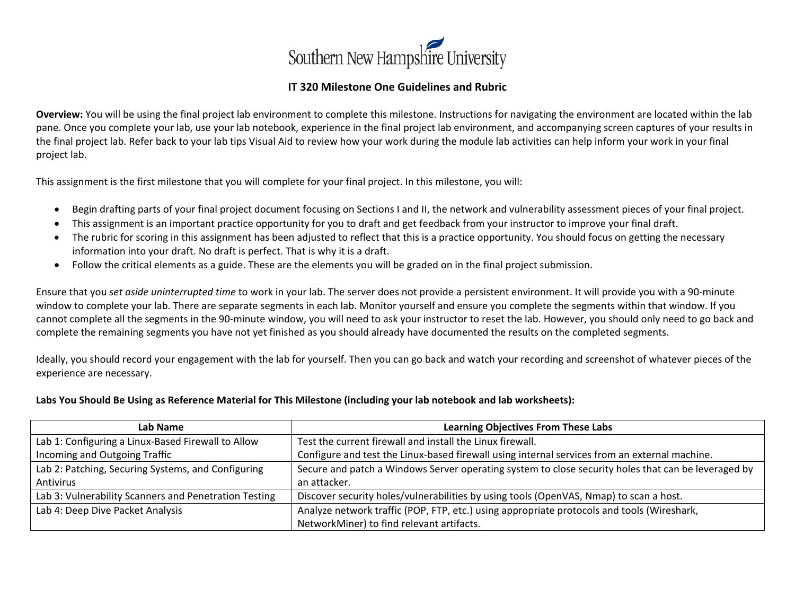

## **IT 320 Milestone One Guidelines and Rubric**

**Overview:** You will be using the final project lab environment to complete this milestone. Instructions for navigating the environment are located within the lab pane. Once you complete your lab, use your lab notebook, experience in the final project lab environment, and accompanying screen captures of your results in the final project lab. Refer back to your lab tips Visual Aid to review how your work during the module lab activities can help inform your work in your final project lab.

This assignment is the first milestone that you will complete for your final project. In this milestone, you will:

- Begin drafting parts of your final project document focusing on Sections I and II, the network and vulnerability assessment pieces of your final project.
- This assignment is an important practice opportunity for you to draft and get feedback from your instructor to improve your final draft.
- The rubric for scoring in this assignment has been adjusted to reflect that this is a practice opportunity. You should focus on getting the necessary information into your draft. No draft is perfect. That is why it is a draft.
- Follow the critical elements as a guide. These are the elements you will be graded on in the final project submission.

Ensure that you *set aside uninterrupted time* to work in your lab. The server does not provide a persistent environment. It will provide you with a 90-minute window to complete your lab. There are separate segments in each lab. Monitor yourself and ensure you complete the segments within that window. If you cannot complete all the segments in the 90-minute window, you will need to ask your instructor to reset the lab. However, you should only need to go back and complete the remaining segments you have not yet finished as you should already have documented the results on the completed segments.

Ideally, you should record your engagement with the lab for yourself. Then you can go back and watch your recording and screenshot of whatever pieces of the experience are necessary.

## **Labs You Should Be Using as Reference Material for This Milestone (including your lab notebook and lab worksheets):**

| Lab Name                                              | <b>Learning Objectives From These Labs</b>                                                          |  |
|-------------------------------------------------------|-----------------------------------------------------------------------------------------------------|--|
| Lab 1: Configuring a Linux-Based Firewall to Allow    | Test the current firewall and install the Linux firewall.                                           |  |
| Incoming and Outgoing Traffic                         | Configure and test the Linux-based firewall using internal services from an external machine.       |  |
| Lab 2: Patching, Securing Systems, and Configuring    | Secure and patch a Windows Server operating system to close security holes that can be leveraged by |  |
| Antivirus                                             | an attacker.                                                                                        |  |
| Lab 3: Vulnerability Scanners and Penetration Testing | Discover security holes/vulnerabilities by using tools (OpenVAS, Nmap) to scan a host.              |  |
| Lab 4: Deep Dive Packet Analysis                      | Analyze network traffic (POP, FTP, etc.) using appropriate protocols and tools (Wireshark,          |  |
|                                                       | NetworkMiner) to find relevant artifacts.                                                           |  |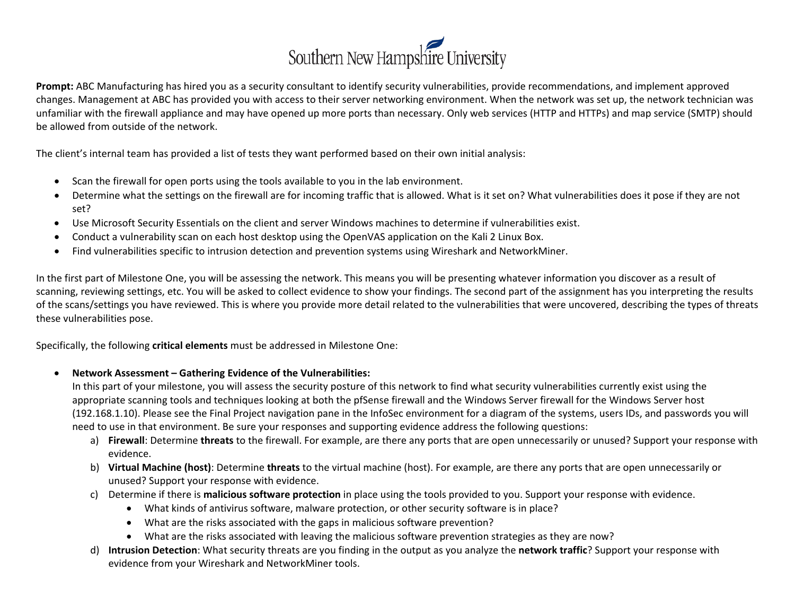

**Prompt:** ABC Manufacturing has hired you as a security consultant to identify security vulnerabilities, provide recommendations, and implement approved changes. Management at ABC has provided you with access to their server networking environment. When the network was set up, the network technician was unfamiliar with the firewall appliance and may have opened up more ports than necessary. Only web services (HTTP and HTTPs) and map service (SMTP) should be allowed from outside of the network.

The client's internal team has provided a list of tests they want performed based on their own initial analysis:

- Scan the firewall for open ports using the tools available to you in the lab environment.
- Determine what the settings on the firewall are for incoming traffic that is allowed. What is it set on? What vulnerabilities does it pose if they are not set?
- Use Microsoft Security Essentials on the client and server Windows machines to determine if vulnerabilities exist.
- Conduct a vulnerability scan on each host desktop using the OpenVAS application on the Kali 2 Linux Box.
- Find vulnerabilities specific to intrusion detection and prevention systems using Wireshark and NetworkMiner.

In the first part of Milestone One, you will be assessing the network. This means you will be presenting whatever information you discover as a result of scanning, reviewing settings, etc. You will be asked to collect evidence to show your findings. The second part of the assignment has you interpreting the results of the scans/settings you have reviewed. This is where you provide more detail related to the vulnerabilities that were uncovered, describing the types of threats these vulnerabilities pose.

Specifically, the following **critical elements** must be addressed in Milestone One:

• **Network Assessment – Gathering Evidence of the Vulnerabilities:**

In this part of your milestone, you will assess the security posture of this network to find what security vulnerabilities currently exist using the appropriate scanning tools and techniques looking at both the pfSense firewall and the Windows Server firewall for the Windows Server host (192.168.1.10). Please see the Final Project navigation pane in the InfoSec environment for a diagram of the systems, users IDs, and passwords you will need to use in that environment. Be sure your responses and supporting evidence address the following questions:

- a) **Firewall**: Determine **threats** to the firewall. For example, are there any ports that are open unnecessarily or unused? Support your response with evidence.
- b) **Virtual Machine (host)**: Determine **threats** to the virtual machine (host). For example, are there any ports that are open unnecessarily or unused? Support your response with evidence.
- c) Determine if there is **malicious software protection** in place using the tools provided to you. Support your response with evidence.
	- What kinds of antivirus software, malware protection, or other security software is in place?
	- What are the risks associated with the gaps in malicious software prevention?
	- What are the risks associated with leaving the malicious software prevention strategies as they are now?
- d) **Intrusion Detection**: What security threats are you finding in the output as you analyze the **network traffic**? Support your response with evidence from your Wireshark and NetworkMiner tools.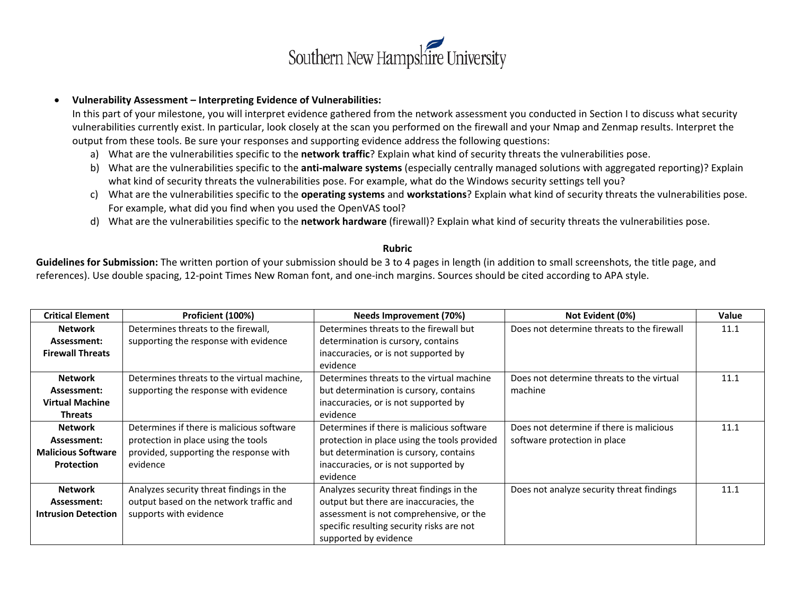

## • **Vulnerability Assessment – Interpreting Evidence of Vulnerabilities:**

In this part of your milestone, you will interpret evidence gathered from the network assessment you conducted in Section I to discuss what security vulnerabilities currently exist. In particular, look closely at the scan you performed on the firewall and your Nmap and Zenmap results. Interpret the output from these tools. Be sure your responses and supporting evidence address the following questions:

- a) What are the vulnerabilities specific to the **network traffic**? Explain what kind of security threats the vulnerabilities pose.
- b) What are the vulnerabilities specific to the **anti-malware systems** (especially centrally managed solutions with aggregated reporting)? Explain what kind of security threats the vulnerabilities pose. For example, what do the Windows security settings tell you?
- c) What are the vulnerabilities specific to the **operating systems** and **workstations**? Explain what kind of security threats the vulnerabilities pose. For example, what did you find when you used the OpenVAS tool?
- d) What are the vulnerabilities specific to the **network hardware** (firewall)? Explain what kind of security threats the vulnerabilities pose.

## **Rubric**

**Guidelines for Submission:** The written portion of your submission should be 3 to 4 pages in length (in addition to small screenshots, the title page, and references). Use double spacing, 12-point Times New Roman font, and one-inch margins. Sources should be cited according to APA style.

| <b>Critical Element</b>    | Proficient (100%)                          | Needs Improvement (70%)                      | Not Evident (0%)                           | <b>Value</b> |
|----------------------------|--------------------------------------------|----------------------------------------------|--------------------------------------------|--------------|
| <b>Network</b>             | Determines threats to the firewall,        | Determines threats to the firewall but       | Does not determine threats to the firewall | 11.1         |
| Assessment:                | supporting the response with evidence      | determination is cursory, contains           |                                            |              |
| <b>Firewall Threats</b>    |                                            | inaccuracies, or is not supported by         |                                            |              |
|                            |                                            | evidence                                     |                                            |              |
| <b>Network</b>             | Determines threats to the virtual machine, | Determines threats to the virtual machine    | Does not determine threats to the virtual  | 11.1         |
| Assessment:                | supporting the response with evidence      | but determination is cursory, contains       | machine                                    |              |
| <b>Virtual Machine</b>     |                                            | inaccuracies, or is not supported by         |                                            |              |
| <b>Threats</b>             |                                            | evidence                                     |                                            |              |
| <b>Network</b>             | Determines if there is malicious software  | Determines if there is malicious software    | Does not determine if there is malicious   | 11.1         |
| Assessment:                | protection in place using the tools        | protection in place using the tools provided | software protection in place               |              |
| <b>Malicious Software</b>  | provided, supporting the response with     | but determination is cursory, contains       |                                            |              |
| <b>Protection</b>          | evidence                                   | inaccuracies, or is not supported by         |                                            |              |
|                            |                                            | evidence                                     |                                            |              |
| <b>Network</b>             | Analyzes security threat findings in the   | Analyzes security threat findings in the     | Does not analyze security threat findings  | 11.1         |
| Assessment:                | output based on the network traffic and    | output but there are inaccuracies, the       |                                            |              |
| <b>Intrusion Detection</b> | supports with evidence                     | assessment is not comprehensive, or the      |                                            |              |
|                            |                                            | specific resulting security risks are not    |                                            |              |
|                            |                                            | supported by evidence                        |                                            |              |